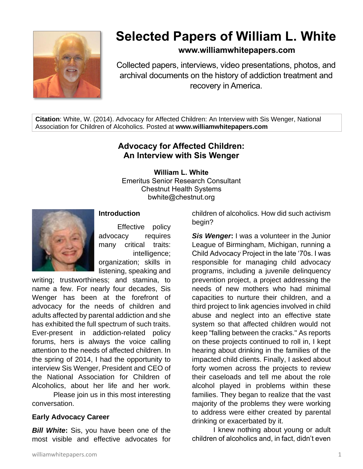

# **Selected Papers of William L. White**

## **www.williamwhitepapers.com**

Collected papers, interviews, video presentations, photos, and archival documents on the history of addiction treatment and recovery in America.

**Citation**: White, W. (2014). Advocacy for Affected Children: An Interview with Sis Wenger, National Association for Children of Alcoholics. Posted at **www.williamwhitepapers.com**

## **Advocacy for Affected Children: An Interview with Sis Wenger**

**William L. White**

Emeritus Senior Research Consultant Chestnut Health Systems bwhite@chestnut.org



#### **Introduction**

Effective policy advocacy requires many critical traits: intelligence;

organization; skills in listening, speaking and

writing; trustworthiness; and stamina, to name a few. For nearly four decades, Sis Wenger has been at the forefront of advocacy for the needs of children and adults affected by parental addiction and she has exhibited the full spectrum of such traits. Ever-present in addiction-related policy forums, hers is always the voice calling attention to the needs of affected children. In the spring of 2014, I had the opportunity to interview Sis Wenger, President and CEO of the National Association for Children of Alcoholics, about her life and her work.

Please join us in this most interesting conversation.

## **Early Advocacy Career**

*Bill White***:** Sis, you have been one of the most visible and effective advocates for

children of alcoholics. How did such activism begin?

*Sis Wenger***:** I was a volunteer in the Junior League of Birmingham, Michigan, running a Child Advocacy Project in the late '70s. I was responsible for managing child advocacy programs, including a juvenile delinquency prevention project, a project addressing the needs of new mothers who had minimal capacities to nurture their children, and a third project to link agencies involved in child abuse and neglect into an effective state system so that affected children would not keep "falling between the cracks." As reports on these projects continued to roll in, I kept hearing about drinking in the families of the impacted child clients. Finally, I asked about forty women across the projects to review their caseloads and tell me about the role alcohol played in problems within these families. They began to realize that the vast majority of the problems they were working to address were either created by parental drinking or exacerbated by it.

I knew nothing about young or adult children of alcoholics and, in fact, didn't even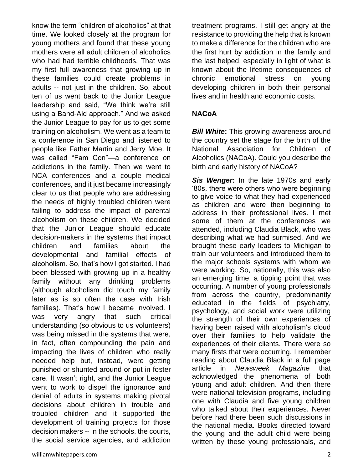know the term "children of alcoholics" at that time. We looked closely at the program for young mothers and found that these young mothers were all adult children of alcoholics who had had terrible childhoods. That was my first full awareness that growing up in these families could create problems in adults -- not just in the children. So, about ten of us went back to the Junior League leadership and said, "We think we're still using a Band-Aid approach." And we asked the Junior League to pay for us to get some training on alcoholism. We went as a team to a conference in San Diego and listened to people like Father Martin and Jerry Moe. It was called "Fam Con"—a conference on addictions in the family. Then we went to NCA conferences and a couple medical conferences, and it just became increasingly clear to us that people who are addressing the needs of highly troubled children were failing to address the impact of parental alcoholism on these children. We decided that the Junior League should educate decision-makers in the systems that impact children and families about the developmental and familial effects of alcoholism. So, that's how I got started. I had been blessed with growing up in a healthy family without any drinking problems (although alcoholism did touch my family later as is so often the case with Irish families). That's how I became involved. I was very angry that such critical understanding (so obvious to us volunteers) was being missed in the systems that were, in fact, often compounding the pain and impacting the lives of children who really needed help but, instead, were getting punished or shunted around or put in foster care. It wasn't right, and the Junior League went to work to dispel the ignorance and denial of adults in systems making pivotal decisions about children in trouble and troubled children and it supported the development of training projects for those decision makers -- in the schools, the courts, the social service agencies, and addiction

treatment programs. I still get angry at the resistance to providing the help that is known to make a difference for the children who are the first hurt by addiction in the family and the last helped, especially in light of what is known about the lifetime consequences of chronic emotional stress on young developing children in both their personal lives and in health and economic costs.

#### **NACoA**

*Bill White:* This growing awareness around the country set the stage for the birth of the National Association for Children of Alcoholics (NACoA). Could you describe the birth and early history of NACoA?

*Sis Wenger***:** In the late 1970s and early '80s, there were others who were beginning to give voice to what they had experienced as children and were then beginning to address in their professional lives. I met some of them at the conferences we attended, including Claudia Black, who was describing what we had surmised. And we brought these early leaders to Michigan to train our volunteers and introduced them to the major schools systems with whom we were working. So, nationally, this was also an emerging time, a tipping point that was occurring. A number of young professionals from across the country, predominantly educated in the fields of psychiatry, psychology, and social work were utilizing the strength of their own experiences of having been raised with alcoholism's cloud over their families to help validate the experiences of their clients. There were so many firsts that were occurring. I remember reading about Claudia Black in a full page article in *Newsweek Magazine* that acknowledged the phenomena of both young and adult children. And then there were national television programs, including one with Claudia and five young children who talked about their experiences. Never before had there been such discussions in the national media. Books directed toward the young and the adult child were being written by these young professionals, and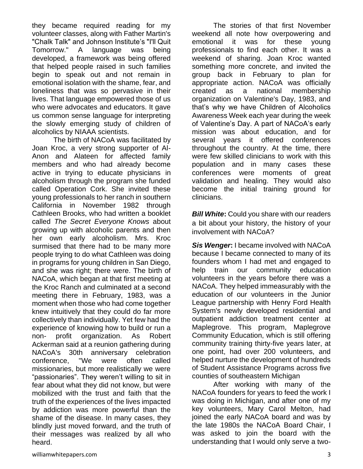they became required reading for my volunteer classes, along with Father Martin's "Chalk Talk" and Johnson Institute's "I'll Quit Tomorrow." A language was being developed, a framework was being offered that helped people raised in such families begin to speak out and not remain in emotional isolation with the shame, fear, and loneliness that was so pervasive in their lives. That language empowered those of us who were advocates and educators. It gave us common sense language for interpreting the slowly emerging study of children of alcoholics by NIAAA scientists.

The birth of NACoA was facilitated by Joan Kroc, a very strong supporter of Al-Anon and Alateen for affected family members and who had already become active in trying to educate physicians in alcoholism through the program she funded called Operation Cork. She invited these young professionals to her ranch in southern California in November 1982 through Cathleen Brooks, who had written a booklet called *The Secret Everyone Knows* about growing up with alcoholic parents and then her own early alcoholism. Mrs. Kroc surmised that there had to be many more people trying to do what Cathleen was doing in programs for young children in San Diego, and she was right; there were. The birth of NACoA, which began at that first meeting at the Kroc Ranch and culminated at a second meeting there in February, 1983, was a moment when those who had come together knew intuitively that they could do far more collectively than individually. Yet few had the experience of knowing how to build or run a non- profit organization. As Robert Ackerman said at a reunion gathering during NACoA's 30th anniversary celebration conference, "We were often called missionaries, but more realistically we were "passionaries". They weren't willing to sit in fear about what they did not know, but were mobilized with the trust and faith that the truth of the experiences of the lives impacted by addiction was more powerful than the shame of the disease. In many cases, they blindly just moved forward, and the truth of their messages was realized by all who heard.

The stories of that first November weekend all note how overpowering and emotional it was for these young professionals to find each other. It was a weekend of sharing. Joan Kroc wanted something more concrete, and invited the group back in February to plan for appropriate action. NACoA was officially created as a national membership organization on Valentine's Day, 1983, and that's why we have Children of Alcoholics Awareness Week each year during the week of Valentine's Day. A part of NACoA's early mission was about education, and for several years it offered conferences throughout the country. At the time, there were few skilled clinicians to work with this population and in many cases these conferences were moments of great validation and healing. They would also become the initial training ground for clinicians.

*Bill White***:** Could you share with our readers a bit about your history, the history of your involvement with NACoA?

**Sis Wenger:** I became involved with NACoA because I became connected to many of its founders whom I had met and engaged to help train our community education volunteers in the years before there was a NACoA. They helped immeasurably with the education of our volunteers in the Junior League partnership with Henry Ford Health System's newly developed residential and outpatient addiction treatment center at Maplegrove. This program, Maplegrove Community Education, which is still offering community training thirty-five years later, at one point, had over 200 volunteers, and helped nurture the development of hundreds of Student Assistance Programs across five counties of southeastern Michigan

After working with many of the NACoA founders for years to feed the work I was doing in Michigan, and after one of my key volunteers, Mary Carol Melton, had joined the early NACoA board and was by the late 1980s the NACoA Board Chair, I was asked to join the board with the understanding that I would only serve a two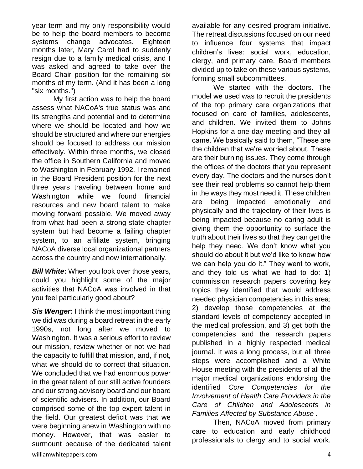year term and my only responsibility would be to help the board members to become systems change advocates. Eighteen months later, Mary Carol had to suddenly resign due to a family medical crisis, and I was asked and agreed to take over the Board Chair position for the remaining six months of my term. (And it has been a long "six months.")

My first action was to help the board assess what NACoA's true status was and its strengths and potential and to determine where we should be located and how we should be structured and where our energies should be focused to address our mission effectively. Within three months, we closed the office in Southern California and moved to Washington in February 1992. I remained in the Board President position for the next three years traveling between home and Washington while we found financial resources and new board talent to make moving forward possible. We moved away from what had been a strong state chapter system but had become a failing chapter system, to an affiliate system, bringing NACoA diverse local organizational partners across the country and now internationally.

*Bill White***:** When you look over those years, could you highlight some of the major activities that NACoA was involved in that you feel particularly good about?

williamwhitepapers.com 4 **Sis Wenger:** I think the most important thing we did was during a board retreat in the early 1990s, not long after we moved to Washington. It was a serious effort to review our mission, review whether or not we had the capacity to fulfill that mission, and, if not, what we should do to correct that situation. We concluded that we had enormous power in the great talent of our still active founders and our strong advisory board and our board of scientific advisers. In addition, our Board comprised some of the top expert talent in the field. Our greatest deficit was that we were beginning anew in Washington with no money. However, that was easier to surmount because of the dedicated talent

available for any desired program initiative. The retreat discussions focused on our need to influence four systems that impact children's lives: social work, education, clergy, and primary care. Board members divided up to take on these various systems, forming small subcommittees.

We started with the doctors. The model we used was to recruit the presidents of the top primary care organizations that focused on care of families, adolescents, and children. We invited them to Johns Hopkins for a one-day meeting and they all came. We basically said to them, "These are the children that we're worried about. These are their burning issues. They come through the offices of the doctors that you represent every day. The doctors and the nurses don't see their real problems so cannot help them in the ways they most need it. These children are being impacted emotionally and physically and the trajectory of their lives is being impacted because no caring adult is giving them the opportunity to surface the truth about their lives so that they can get the help they need. We don't know what you should do about it but we'd like to know how we can help you do it." They went to work, and they told us what we had to do: 1) commission research papers covering key topics they identified that would address needed physician competencies in this area; 2) develop those competencies at the standard levels of competency accepted in the medical profession, and 3) get both the competencies and the research papers published in a highly respected medical journal. It was a long process, but all three steps were accomplished and a White House meeting with the presidents of all the major medical organizations endorsing the identified *Core Competencies for the Involvement of Health Care Providers in the Care of Children and Adolescents in Families Affected by Substance Abuse .*

Then, NACoA moved from primary care to education and early childhood professionals to clergy and to social work.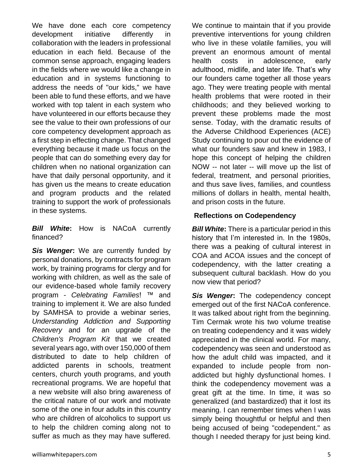We have done each core competency development initiative differently in collaboration with the leaders in professional education in each field. Because of the common sense approach, engaging leaders in the fields where we would like a change in education and in systems functioning to address the needs of "our kids," we have been able to fund these efforts, and we have worked with top talent in each system who have volunteered in our efforts because they see the value to their own professions of our core competency development approach as a first step in effecting change. That changed everything because it made us focus on the people that can do something every day for children when no national organization can have that daily personal opportunity, and it has given us the means to create education and program products and the related training to support the work of professionals in these systems.

#### *Bill White***:** How is NACoA currently financed?

*Sis Wenger***:** We are currently funded by personal donations, by contracts for program work, by training programs for clergy and for working with children, as well as the sale of our evidence-based whole family recovery program - *Celebrating Families*! ™ and training to implement it. We are also funded by SAMHSA to provide a webinar series, *Understanding Addiction and Supporting Recovery* and for an upgrade of the *Children's Program Kit* that we created several years ago, with over 150,000 of them distributed to date to help children of addicted parents in schools, treatment centers, church youth programs, and youth recreational programs. We are hopeful that a new website will also bring awareness of the critical nature of our work and motivate some of the one in four adults in this country who are children of alcoholics to support us to help the children coming along not to suffer as much as they may have suffered.

We continue to maintain that if you provide preventive interventions for young children who live in these volatile families, you will prevent an enormous amount of mental health costs in adolescence, early adulthood, midlife, and later life. That's why our founders came together all those years ago. They were treating people with mental health problems that were rooted in their childhoods; and they believed working to prevent these problems made the most sense. Today, with the dramatic results of the Adverse Childhood Experiences (ACE) Study continuing to pour out the evidence of what our founders saw and knew in 1983, I hope this concept of helping the children NOW -- not later -- will move up the list of federal, treatment, and personal priorities, and thus save lives, families, and countless millions of dollars in health, mental health, and prison costs in the future.

#### **Reflections on Codependency**

*Bill White:* There is a particular period in this history that I'm interested in. In the 1980s, there was a peaking of cultural interest in COA and ACOA issues and the concept of codependency, with the latter creating a subsequent cultural backlash. How do you now view that period?

**Sis Wenger:** The codependency concept emerged out of the first NACoA conference. It was talked about right from the beginning. Tim Cermak wrote his two volume treatise on treating codependency and it was widely appreciated in the clinical world. For many, codependency was seen and understood as how the adult child was impacted, and it expanded to include people from nonaddicted but highly dysfunctional homes. I think the codependency movement was a great gift at the time. In time, it was so generalized (and bastardized) that it lost its meaning. I can remember times when I was simply being thoughtful or helpful and then being accused of being "codependent." as though I needed therapy for just being kind.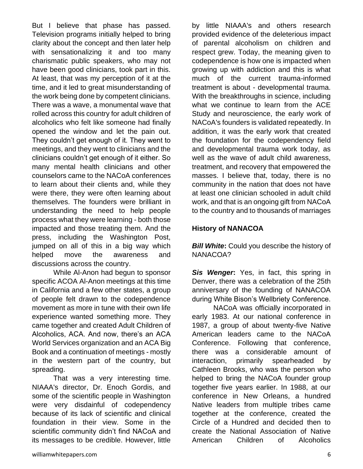But I believe that phase has passed. Television programs initially helped to bring clarity about the concept and then later help with sensationalizing it and too many charismatic public speakers, who may not have been good clinicians, took part in this. At least, that was my perception of it at the time, and it led to great misunderstanding of the work being done by competent clinicians. There was a wave, a monumental wave that rolled across this country for adult children of alcoholics who felt like someone had finally opened the window and let the pain out. They couldn't get enough of it. They went to meetings, and they went to clinicians and the clinicians couldn't get enough of it either. So many mental health clinicians and other counselors came to the NACoA conferences to learn about their clients and, while they were there, they were often learning about themselves. The founders were brilliant in understanding the need to help people process what they were learning - both those impacted and those treating them. And the press, including the Washington Post, jumped on all of this in a big way which helped move the awareness and discussions across the country.

While Al-Anon had begun to sponsor specific ACOA Al-Anon meetings at this time in California and a few other states, a group of people felt drawn to the codependence movement as more in tune with their own life experience wanted something more. They came together and created Adult Children of Alcoholics, ACA. And now, there's an ACA World Services organization and an ACA Big Book and a continuation of meetings - mostly in the western part of the country, but spreading.

That was a very interesting time. NIAAA's director, Dr. Enoch Gordis, and some of the scientific people in Washington were very disdainful of codependency because of its lack of scientific and clinical foundation in their view. Some in the scientific community didn't find NACoA and its messages to be credible. However, little

by little NIAAA's and others research provided evidence of the deleterious impact of parental alcoholism on children and respect grew. Today, the meaning given to codependence is how one is impacted when growing up with addiction and this is what much of the current trauma-informed treatment is about - developmental trauma. With the breakthroughs in science, including what we continue to learn from the ACE Study and neuroscience, the early work of NACoA's founders is validated repeatedly. In addition, it was the early work that created the foundation for the codependency field and developmental trauma work today, as well as the wave of adult child awareness, treatment, and recovery that empowered the masses. I believe that, today, there is no community in the nation that does not have at least one clinician schooled in adult child work, and that is an ongoing gift from NACoA to the country and to thousands of marriages

#### **History of NANACOA**

*Bill White:* Could you describe the history of NANACOA?

*Sis Wenger***:** Yes, in fact, this spring in Denver, there was a celebration of the 25th anniversary of the founding of NANACOA during White Bison's Wellbriety Conference.

NACoA was officially incorporated in early 1983. At our national conference in 1987, a group of about twenty-five Native American leaders came to the NACoA Conference. Following that conference, there was a considerable amount of interaction, primarily spearheaded by Cathleen Brooks, who was the person who helped to bring the NACoA founder group together five years earlier. In 1988, at our conference in New Orleans, a hundred Native leaders from multiple tribes came together at the conference, created the Circle of a Hundred and decided then to create the National Association of Native American Children of Alcoholics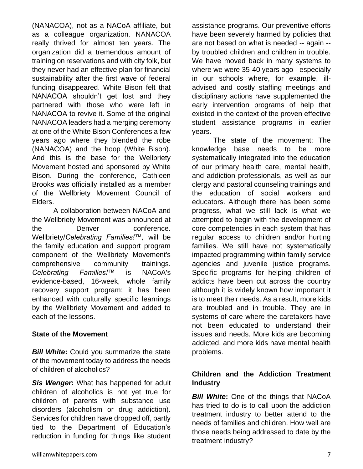(NANACOA), not as a NACoA affiliate, but as a colleague organization. NANACOA really thrived for almost ten years. The organization did a tremendous amount of training on reservations and with city folk, but they never had an effective plan for financial sustainability after the first wave of federal funding disappeared. White Bison felt that NANACOA shouldn't get lost and they partnered with those who were left in NANACOA to revive it. Some of the original NANACOA leaders had a merging ceremony at one of the White Bison Conferences a few years ago where they blended the robe (NANACOA) and the hoop (White Bison). And this is the base for the Wellbriety Movement hosted and sponsored by White Bison. During the conference, Cathleen Brooks was officially installed as a member of the Wellbriety Movement Council of Elders.

A collaboration between NACoA and the Wellbriety Movement was announced at the Denver conference. Wellbriety/*Celebrating Families!™,* will be the family education and support program component of the Wellbriety Movement's comprehensive community trainings. *Celebrating Families!™* is NACoA's evidence-based, 16-week, whole family recovery support program; it has been enhanced with culturally specific learnings by the Wellbriety Movement and added to each of the lessons.

#### **State of the Movement**

*Bill White***:** Could you summarize the state of the movement today to address the needs of children of alcoholics?

*Sis Wenger***:** What has happened for adult children of alcoholics is not yet true for children of parents with substance use disorders (alcoholism or drug addiction). Services for children have dropped off, partly tied to the Department of Education's reduction in funding for things like student

assistance programs. Our preventive efforts have been severely harmed by policies that are not based on what is needed -- again - by troubled children and children in trouble. We have moved back in many systems to where we were 35-40 years ago - especially in our schools where, for example, illadvised and costly staffing meetings and disciplinary actions have supplemented the early intervention programs of help that existed in the context of the proven effective student assistance programs in earlier years.

The state of the movement: The knowledge base needs to be more systematically integrated into the education of our primary health care, mental health, and addiction professionals, as well as our clergy and pastoral counseling trainings and the education of social workers and educators. Although there has been some progress, what we still lack is what we attempted to begin with the development of core competencies in each system that has regular access to children and/or hurting families. We still have not systematically impacted programming within family service agencies and juvenile justice programs. Specific programs for helping children of addicts have been cut across the country although it is widely known how important it is to meet their needs. As a result, more kids are troubled and in trouble. They are in systems of care where the caretakers have not been educated to understand their issues and needs. More kids are becoming addicted, and more kids have mental health problems.

## **Children and the Addiction Treatment Industry**

*Bill White***:** One of the things that NACoA has tried to do is to call upon the addiction treatment industry to better attend to the needs of families and children. How well are those needs being addressed to date by the treatment industry?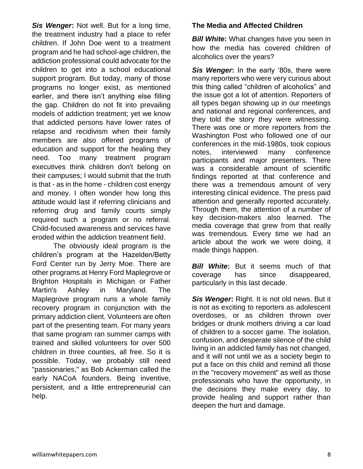*Sis Wenger***:** Not well. But for a long time, the treatment industry had a place to refer children. If John Doe went to a treatment program and he had school-age children, the addiction professional could advocate for the children to get into a school educational support program. But today, many of those programs no longer exist, as mentioned earlier, and there isn't anything else filling the gap. Children do not fit into prevailing models of addiction treatment; yet we know that addicted persons have lower rates of relapse and recidivism when their family members are also offered programs of education and support for the healing they need. Too many treatment program executives think children don't belong on their campuses; I would submit that the truth is that - as in the home - children cost energy and money. I often wonder how long this attitude would last if referring clinicians and referring drug and family courts simply required such a program or no referral. Child-focused awareness and services have eroded within the addiction treatment field.

The obviously ideal program is the children's program at the Hazelden/Betty Ford Center run by Jerry Moe. There are other programs at Henry Ford Maplegrove or Brighton Hospitals in Michigan or Father Martin's Ashley in Maryland. The Maplegrove program runs a whole family recovery program in conjunction with the primary addiction client. Volunteers are often part of the presenting team. For many years that same program ran summer camps with trained and skilled volunteers for over 500 children in three counties, all free. So it is possible. Today, we probably still need "passionaries," as Bob Ackerman called the early NACoA founders. Being inventive, persistent, and a little entrepreneurial can help.

#### **The Media and Affected Children**

*Bill White:* What changes have you seen in how the media has covered children of alcoholics over the years?

*Sis Wenger***:** In the early '80s, there were many reporters who were very curious about this thing called "children of alcoholics" and the issue got a lot of attention. Reporters of all types began showing up in our meetings and national and regional conferences, and they told the story they were witnessing. There was one or more reporters from the Washington Post who followed one of our conferences in the mid-1980s, took copious notes, interviewed many conference participants and major presenters. There was a considerable amount of scientific findings reported at that conference and there was a tremendous amount of very interesting clinical evidence. The press paid attention and generally reported accurately. Through them, the attention of a number of key decision-makers also learned. The media coverage that grew from that really was tremendous. Every time we had an article about the work we were doing, it made things happen.

*Bill White*: But it seems much of that coverage has since disappeared, particularly in this last decade.

*Sis Wenger***:** Right. It is not old news. But it is not as exciting to reporters as adolescent overdoses, or as children thrown over bridges or drunk mothers driving a car load of children to a soccer game. The isolation, confusion, and desperate silence of the child living in an addicted family has not changed, and it will not until we as a society begin to put a face on this child and remind all those in the "recovery movement" as well as those professionals who have the opportunity, in the decisions they make every day, to provide healing and support rather than deepen the hurt and damage.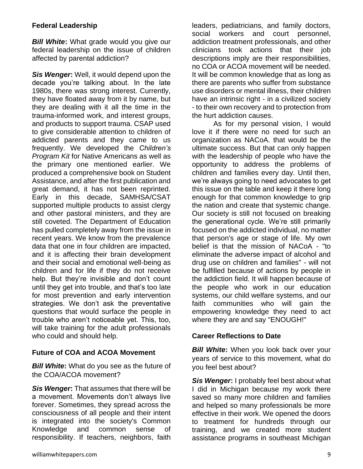#### **Federal Leadership**

*Bill White***:** What grade would you give our federal leadership on the issue of children affected by parental addiction?

*Sis Wenger***:** Well, it would depend upon the decade you're talking about. In the late 1980s, there was strong interest. Currently, they have floated away from it by name, but they are dealing with it all the time in the trauma-informed work, and interest groups, and products to support trauma. CSAP used to give considerable attention to children of addicted parents and they came to us frequently. We developed the *Children's Program Kit* for Native Americans as well as the primary one mentioned earlier. We produced a comprehensive book on Student Assistance, and after the first publication and great demand, it has not been reprinted. Early in this decade, SAMHSA/CSAT supported multiple products to assist clergy and other pastoral ministers, and they are still coveted. The Department of Education has pulled completely away from the issue in recent years. We know from the prevalence data that one in four children are impacted, and it is affecting their brain development and their social and emotional well-being as children and for life if they do not receive help. But they're invisible and don't count until they get into trouble, and that's too late for most prevention and early intervention strategies. We don't ask the preventative questions that would surface the people in trouble who aren't noticeable yet. This, too, will take training for the adult professionals who could and should help.

#### **Future of COA and ACOA Movement**

*Bill White***:** What do you see as the future of the COA/ACOA movement?

**Sis Wenger:** That assumes that there will be a movement. Movements don't always live forever. Sometimes, they spread across the consciousness of all people and their intent is integrated into the society's Common Knowledge and common sense of responsibility. If teachers, neighbors, faith

leaders, pediatricians, and family doctors, social workers and court personnel, addiction treatment professionals, and other clinicians took actions that their job descriptions imply are their responsibilities, no COA or ACOA movement will be needed. It will be common knowledge that as long as there are parents who suffer from substance use disorders or mental illness, their children have an intrinsic right - in a civilized society - to their own recovery and to protection from the hurt addiction causes.

As for my personal vision, I would love it if there were no need for such an organization as NACoA. that would be the ultimate success. But that can only happen with the leadership of people who have the opportunity to address the problems of children and families every day. Until then, we're always going to need advocates to get this issue on the table and keep it there long enough for that common knowledge to grip the nation and create that systemic change. Our society is still not focused on breaking the generational cycle. We're still primarily focused on the addicted individual, no matter that person's age or stage of life. My own belief is that the mission of NACoA - "to eliminate the adverse impact of alcohol and drug use on children and families" - will not be fulfilled because of actions by people in the addiction field. It will happen because of the people who work in our education systems, our child welfare systems, and our faith communities who will gain the empowering knowledge they need to act where they are and say "ENOUGH!"

#### **Career Reflections to Date**

**Bill White:** When you look back over your years of service to this movement, what do you feel best about?

*Sis Wenger***:** I probably feel best about what I did in Michigan because my work there saved so many more children and families and helped so many professionals be more effective in their work. We opened the doors to treatment for hundreds through our training, and we created more student assistance programs in southeast Michigan